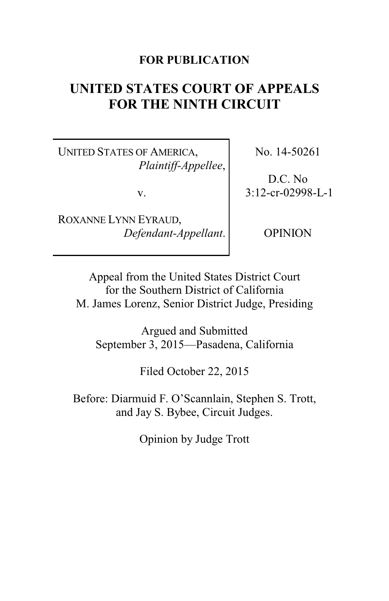### **FOR PUBLICATION**

# **UNITED STATES COURT OF APPEALS FOR THE NINTH CIRCUIT**

UNITED STATES OF AMERICA, *Plaintiff-Appellee*,

v.

ROXANNE LYNN EYRAUD, *Defendant-Appellant*. No. 14-50261

D.C. No 3:12-cr-02998-L-1

OPINION

Appeal from the United States District Court for the Southern District of California M. James Lorenz, Senior District Judge, Presiding

Argued and Submitted September 3, 2015—Pasadena, California

Filed October 22, 2015

Before: Diarmuid F. O'Scannlain, Stephen S. Trott, and Jay S. Bybee, Circuit Judges.

Opinion by Judge Trott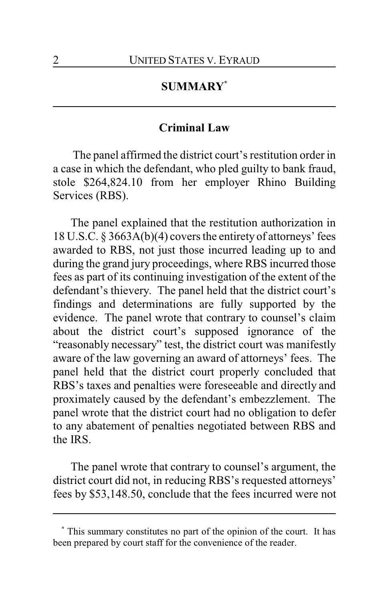# **SUMMARY\***

### **Criminal Law**

The panel affirmed the district court's restitution order in a case in which the defendant, who pled guilty to bank fraud, stole \$264,824.10 from her employer Rhino Building Services (RBS).

The panel explained that the restitution authorization in 18 U.S.C. § 3663A(b)(4) covers the entirety of attorneys' fees awarded to RBS, not just those incurred leading up to and during the grand jury proceedings, where RBS incurred those fees as part of its continuing investigation of the extent of the defendant's thievery. The panel held that the district court's findings and determinations are fully supported by the evidence. The panel wrote that contrary to counsel's claim about the district court's supposed ignorance of the "reasonably necessary" test, the district court was manifestly aware of the law governing an award of attorneys' fees. The panel held that the district court properly concluded that RBS's taxes and penalties were foreseeable and directly and proximately caused by the defendant's embezzlement. The panel wrote that the district court had no obligation to defer to any abatement of penalties negotiated between RBS and the IRS.

The panel wrote that contrary to counsel's argument, the district court did not, in reducing RBS's requested attorneys' fees by \$53,148.50, conclude that the fees incurred were not

**<sup>\*</sup>** This summary constitutes no part of the opinion of the court. It has been prepared by court staff for the convenience of the reader.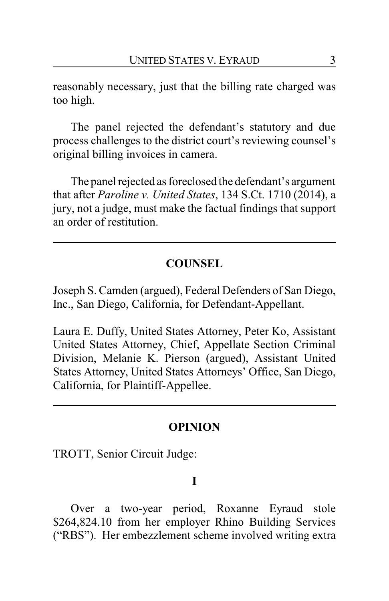reasonably necessary, just that the billing rate charged was too high.

The panel rejected the defendant's statutory and due process challenges to the district court's reviewing counsel's original billing invoices in camera.

The panel rejected as foreclosed the defendant's argument that after *Paroline v. United States*, 134 S.Ct. 1710 (2014), a jury, not a judge, must make the factual findings that support an order of restitution.

# **COUNSEL**

Joseph S. Camden (argued), Federal Defenders of San Diego, Inc., San Diego, California, for Defendant-Appellant.

Laura E. Duffy, United States Attorney, Peter Ko, Assistant United States Attorney, Chief, Appellate Section Criminal Division, Melanie K. Pierson (argued), Assistant United States Attorney, United States Attorneys' Office, San Diego, California, for Plaintiff-Appellee.

# **OPINION**

TROTT, Senior Circuit Judge:

# **I**

Over a two-year period, Roxanne Eyraud stole \$264,824.10 from her employer Rhino Building Services ("RBS"). Her embezzlement scheme involved writing extra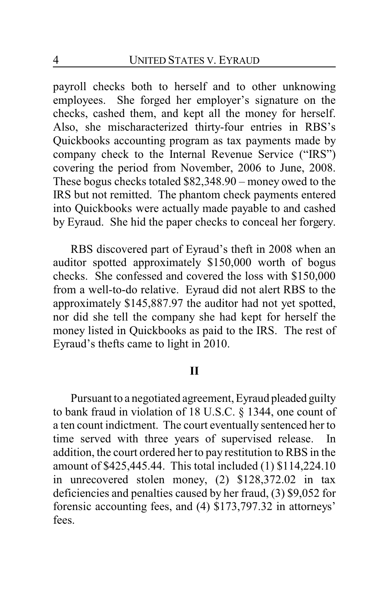payroll checks both to herself and to other unknowing employees. She forged her employer's signature on the checks, cashed them, and kept all the money for herself. Also, she mischaracterized thirty-four entries in RBS's Quickbooks accounting program as tax payments made by company check to the Internal Revenue Service ("IRS") covering the period from November, 2006 to June, 2008. These bogus checks totaled \$82,348.90 – money owed to the IRS but not remitted. The phantom check payments entered into Quickbooks were actually made payable to and cashed by Eyraud. She hid the paper checks to conceal her forgery.

RBS discovered part of Eyraud's theft in 2008 when an auditor spotted approximately \$150,000 worth of bogus checks. She confessed and covered the loss with \$150,000 from a well-to-do relative. Eyraud did not alert RBS to the approximately \$145,887.97 the auditor had not yet spotted, nor did she tell the company she had kept for herself the money listed in Quickbooks as paid to the IRS. The rest of Eyraud's thefts came to light in 2010.

### **II**

Pursuant to a negotiated agreement, Eyraud pleaded guilty to bank fraud in violation of 18 U.S.C. § 1344, one count of a ten count indictment. The court eventually sentenced her to time served with three years of supervised release. In addition, the court ordered her to pay restitution to RBS in the amount of \$425,445.44. This total included (1) \$114,224.10 in unrecovered stolen money, (2) \$128,372.02 in tax deficiencies and penalties caused by her fraud, (3) \$9,052 for forensic accounting fees, and (4) \$173,797.32 in attorneys' fees.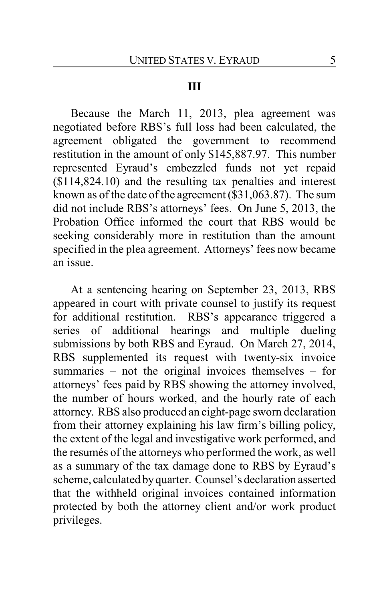#### **III**

Because the March 11, 2013, plea agreement was negotiated before RBS's full loss had been calculated, the agreement obligated the government to recommend restitution in the amount of only \$145,887.97. This number represented Eyraud's embezzled funds not yet repaid (\$114,824.10) and the resulting tax penalties and interest known as of the date of the agreement (\$31,063.87). The sum did not include RBS's attorneys' fees. On June 5, 2013, the Probation Office informed the court that RBS would be seeking considerably more in restitution than the amount specified in the plea agreement. Attorneys' fees now became an issue.

At a sentencing hearing on September 23, 2013, RBS appeared in court with private counsel to justify its request for additional restitution. RBS's appearance triggered a series of additional hearings and multiple dueling submissions by both RBS and Eyraud. On March 27, 2014, RBS supplemented its request with twenty-six invoice summaries – not the original invoices themselves – for attorneys' fees paid by RBS showing the attorney involved, the number of hours worked, and the hourly rate of each attorney. RBS also produced an eight-page sworn declaration from their attorney explaining his law firm's billing policy, the extent of the legal and investigative work performed, and the resumés of the attorneys who performed the work, as well as a summary of the tax damage done to RBS by Eyraud's scheme, calculated byquarter. Counsel's declaration asserted that the withheld original invoices contained information protected by both the attorney client and/or work product privileges.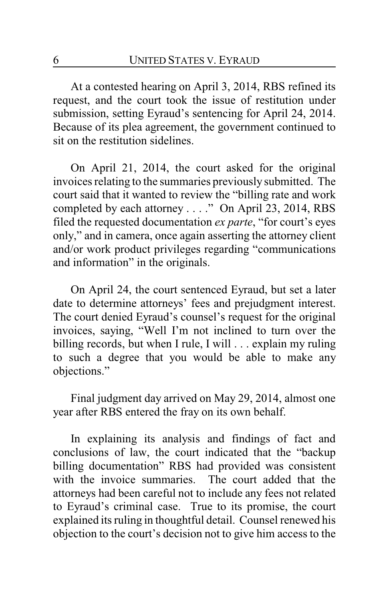At a contested hearing on April 3, 2014, RBS refined its request, and the court took the issue of restitution under submission, setting Eyraud's sentencing for April 24, 2014. Because of its plea agreement, the government continued to sit on the restitution sidelines.

On April 21, 2014, the court asked for the original invoices relating to the summaries previously submitted. The court said that it wanted to review the "billing rate and work completed by each attorney . . . ." On April 23, 2014, RBS filed the requested documentation *ex parte*, "for court's eyes only," and in camera, once again asserting the attorney client and/or work product privileges regarding "communications and information" in the originals.

On April 24, the court sentenced Eyraud, but set a later date to determine attorneys' fees and prejudgment interest. The court denied Eyraud's counsel's request for the original invoices, saying, "Well I'm not inclined to turn over the billing records, but when I rule, I will . . . explain my ruling to such a degree that you would be able to make any objections."

Final judgment day arrived on May 29, 2014, almost one year after RBS entered the fray on its own behalf.

In explaining its analysis and findings of fact and conclusions of law, the court indicated that the "backup billing documentation" RBS had provided was consistent with the invoice summaries. The court added that the attorneys had been careful not to include any fees not related to Eyraud's criminal case. True to its promise, the court explained its ruling in thoughtful detail. Counsel renewed his objection to the court's decision not to give him access to the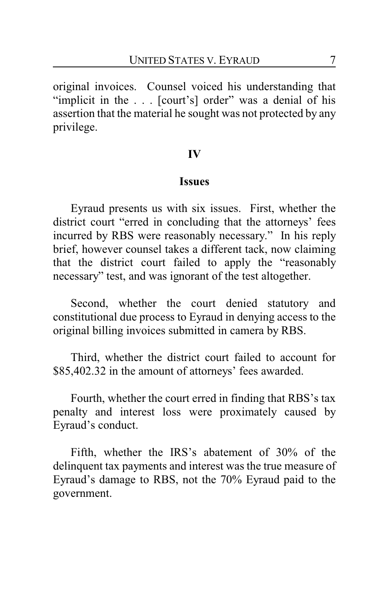original invoices. Counsel voiced his understanding that "implicit in the . . . [court's] order" was a denial of his assertion that the material he sought was not protected by any privilege.

#### **IV**

#### **Issues**

Eyraud presents us with six issues. First, whether the district court "erred in concluding that the attorneys' fees incurred by RBS were reasonably necessary." In his reply brief, however counsel takes a different tack, now claiming that the district court failed to apply the "reasonably necessary" test, and was ignorant of the test altogether.

Second, whether the court denied statutory and constitutional due process to Eyraud in denying access to the original billing invoices submitted in camera by RBS.

Third, whether the district court failed to account for \$85,402.32 in the amount of attorneys' fees awarded.

Fourth, whether the court erred in finding that RBS's tax penalty and interest loss were proximately caused by Eyraud's conduct.

Fifth, whether the IRS's abatement of 30% of the delinquent tax payments and interest was the true measure of Eyraud's damage to RBS, not the 70% Eyraud paid to the government.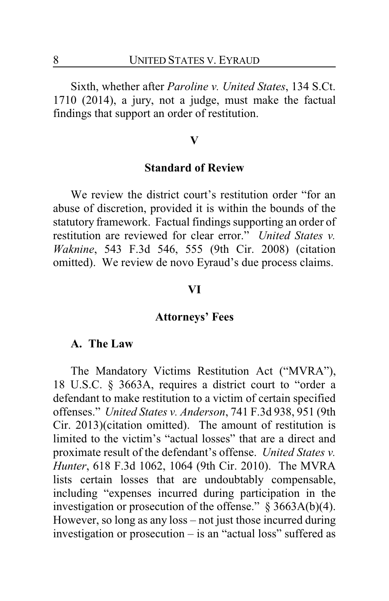Sixth, whether after *Paroline v. United States*, 134 S.Ct. 1710 (2014), a jury, not a judge, must make the factual findings that support an order of restitution.

#### **V**

#### **Standard of Review**

We review the district court's restitution order "for an abuse of discretion, provided it is within the bounds of the statutory framework. Factual findings supporting an order of restitution are reviewed for clear error." *United States v. Waknine*, 543 F.3d 546, 555 (9th Cir. 2008) (citation omitted). We review de novo Eyraud's due process claims.

#### **VI**

### **Attorneys' Fees**

#### **A. The Law**

The Mandatory Victims Restitution Act ("MVRA"), 18 U.S.C. § 3663A, requires a district court to "order a defendant to make restitution to a victim of certain specified offenses." *United States v. Anderson*, 741 F.3d 938, 951 (9th Cir. 2013)(citation omitted). The amount of restitution is limited to the victim's "actual losses" that are a direct and proximate result of the defendant's offense. *United States v. Hunter*, 618 F.3d 1062, 1064 (9th Cir. 2010). The MVRA lists certain losses that are undoubtably compensable, including "expenses incurred during participation in the investigation or prosecution of the offense." § 3663A(b)(4). However, so long as any loss – not just those incurred during investigation or prosecution – is an "actual loss" suffered as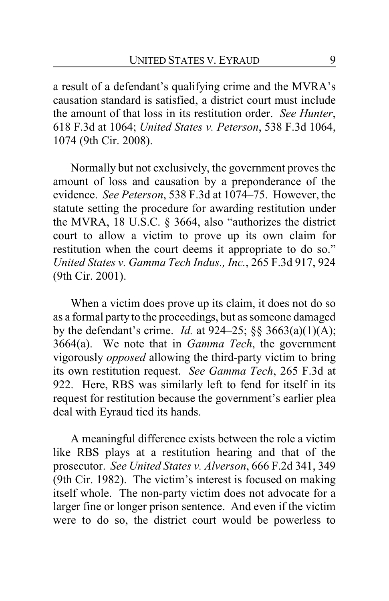a result of a defendant's qualifying crime and the MVRA's causation standard is satisfied, a district court must include the amount of that loss in its restitution order. *See Hunter*, 618 F.3d at 1064; *United States v. Peterson*, 538 F.3d 1064, 1074 (9th Cir. 2008).

Normally but not exclusively, the government proves the amount of loss and causation by a preponderance of the evidence. *See Peterson*, 538 F.3d at 1074–75. However, the statute setting the procedure for awarding restitution under the MVRA, 18 U.S.C. § 3664, also "authorizes the district court to allow a victim to prove up its own claim for restitution when the court deems it appropriate to do so." *United States v. Gamma Tech Indus., Inc.*, 265 F.3d 917, 924 (9th Cir. 2001).

When a victim does prove up its claim, it does not do so as a formal party to the proceedings, but as someone damaged by the defendant's crime. *Id.* at 924–25; §§ 3663(a)(1)(A); 3664(a). We note that in *Gamma Tech*, the government vigorously *opposed* allowing the third-party victim to bring its own restitution request. *See Gamma Tech*, 265 F.3d at 922. Here, RBS was similarly left to fend for itself in its request for restitution because the government's earlier plea deal with Eyraud tied its hands.

A meaningful difference exists between the role a victim like RBS plays at a restitution hearing and that of the prosecutor. *See United States v. Alverson*, 666 F.2d 341, 349 (9th Cir. 1982). The victim's interest is focused on making itself whole. The non-party victim does not advocate for a larger fine or longer prison sentence. And even if the victim were to do so, the district court would be powerless to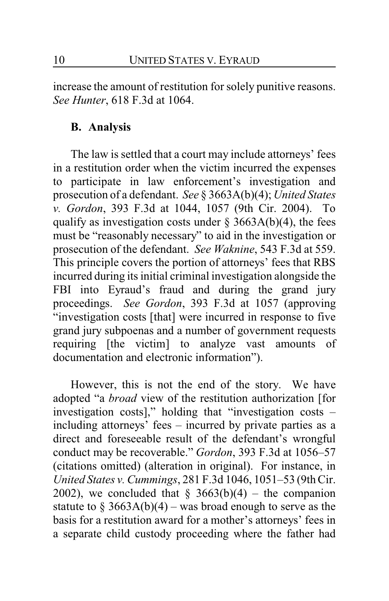increase the amount of restitution for solely punitive reasons. *See Hunter*, 618 F.3d at 1064.

# **B. Analysis**

The law is settled that a court may include attorneys' fees in a restitution order when the victim incurred the expenses to participate in law enforcement's investigation and prosecution of a defendant. *See* § 3663A(b)(4); *United States v. Gordon*, 393 F.3d at 1044, 1057 (9th Cir. 2004). To qualify as investigation costs under  $\S$  3663A(b)(4), the fees must be "reasonably necessary" to aid in the investigation or prosecution of the defendant. *See Waknine*, 543 F.3d at 559. This principle covers the portion of attorneys' fees that RBS incurred during its initial criminal investigation alongside the FBI into Eyraud's fraud and during the grand jury proceedings. *See Gordon*, 393 F.3d at 1057 (approving "investigation costs [that] were incurred in response to five grand jury subpoenas and a number of government requests requiring [the victim] to analyze vast amounts of documentation and electronic information").

However, this is not the end of the story. We have adopted "a *broad* view of the restitution authorization [for investigation costs]," holding that "investigation costs – including attorneys' fees – incurred by private parties as a direct and foreseeable result of the defendant's wrongful conduct may be recoverable." *Gordon*, 393 F.3d at 1056–57 (citations omitted) (alteration in original). For instance, in *United States v. Cummings*, 281 F.3d 1046, 1051–53 (9th Cir. 2002), we concluded that  $\S$  3663(b)(4) – the companion statute to  $\S 3663A(b)(4)$  – was broad enough to serve as the basis for a restitution award for a mother's attorneys' fees in a separate child custody proceeding where the father had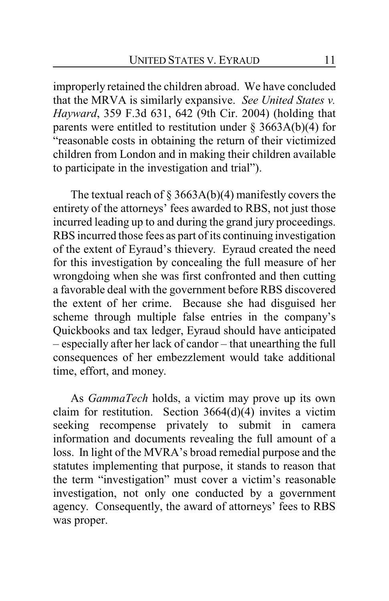improperly retained the children abroad. We have concluded that the MRVA is similarly expansive. *See United States v. Hayward*, 359 F.3d 631, 642 (9th Cir. 2004) (holding that parents were entitled to restitution under  $\S 3663A(b)(4)$  for "reasonable costs in obtaining the return of their victimized children from London and in making their children available to participate in the investigation and trial").

The textual reach of  $\S$  3663A(b)(4) manifestly covers the entirety of the attorneys' fees awarded to RBS, not just those incurred leading up to and during the grand jury proceedings. RBS incurred those fees as part of its continuing investigation of the extent of Eyraud's thievery. Eyraud created the need for this investigation by concealing the full measure of her wrongdoing when she was first confronted and then cutting a favorable deal with the government before RBS discovered the extent of her crime. Because she had disguised her scheme through multiple false entries in the company's Quickbooks and tax ledger, Eyraud should have anticipated – especially after her lack of candor – that unearthing the full consequences of her embezzlement would take additional time, effort, and money.

As *GammaTech* holds, a victim may prove up its own claim for restitution. Section 3664(d)(4) invites a victim seeking recompense privately to submit in camera information and documents revealing the full amount of a loss. In light of the MVRA's broad remedial purpose and the statutes implementing that purpose, it stands to reason that the term "investigation" must cover a victim's reasonable investigation, not only one conducted by a government agency. Consequently, the award of attorneys' fees to RBS was proper.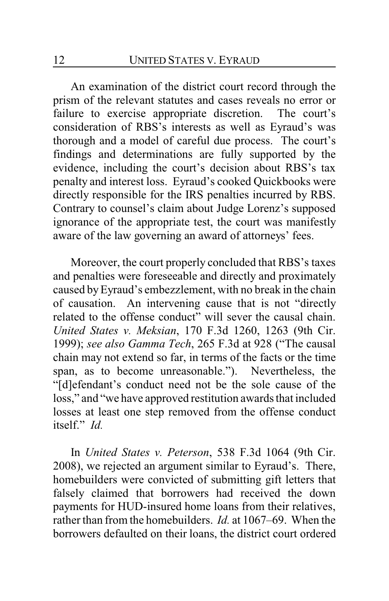An examination of the district court record through the prism of the relevant statutes and cases reveals no error or failure to exercise appropriate discretion. The court's consideration of RBS's interests as well as Eyraud's was thorough and a model of careful due process. The court's findings and determinations are fully supported by the evidence, including the court's decision about RBS's tax penalty and interest loss. Eyraud's cooked Quickbooks were directly responsible for the IRS penalties incurred by RBS. Contrary to counsel's claim about Judge Lorenz's supposed ignorance of the appropriate test, the court was manifestly aware of the law governing an award of attorneys' fees.

Moreover, the court properly concluded that RBS's taxes and penalties were foreseeable and directly and proximately caused byEyraud's embezzlement, with no break in the chain of causation. An intervening cause that is not "directly related to the offense conduct" will sever the causal chain. *United States v. Meksian*, 170 F.3d 1260, 1263 (9th Cir. 1999); *see also Gamma Tech*, 265 F.3d at 928 ("The causal chain may not extend so far, in terms of the facts or the time span, as to become unreasonable."). Nevertheless, the "[d]efendant's conduct need not be the sole cause of the loss," and "we have approved restitution awards that included losses at least one step removed from the offense conduct itself." *Id.*

In *United States v. Peterson*, 538 F.3d 1064 (9th Cir. 2008), we rejected an argument similar to Eyraud's. There, homebuilders were convicted of submitting gift letters that falsely claimed that borrowers had received the down payments for HUD-insured home loans from their relatives, rather than from the homebuilders. *Id.* at 1067–69. When the borrowers defaulted on their loans, the district court ordered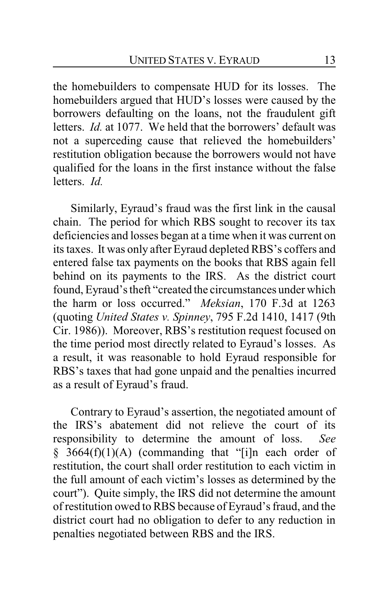the homebuilders to compensate HUD for its losses. The homebuilders argued that HUD's losses were caused by the borrowers defaulting on the loans, not the fraudulent gift letters. *Id.* at 1077. We held that the borrowers' default was not a superceding cause that relieved the homebuilders' restitution obligation because the borrowers would not have qualified for the loans in the first instance without the false letters. *Id.*

Similarly, Eyraud's fraud was the first link in the causal chain. The period for which RBS sought to recover its tax deficiencies and losses began at a time when it was current on its taxes. It was only after Eyraud depleted RBS's coffers and entered false tax payments on the books that RBS again fell behind on its payments to the IRS. As the district court found, Eyraud's theft "created the circumstances under which the harm or loss occurred." *Meksian*, 170 F.3d at 1263 (quoting *United States v. Spinney*, 795 F.2d 1410, 1417 (9th Cir. 1986)). Moreover, RBS's restitution request focused on the time period most directly related to Eyraud's losses. As a result, it was reasonable to hold Eyraud responsible for RBS's taxes that had gone unpaid and the penalties incurred as a result of Eyraud's fraud.

Contrary to Eyraud's assertion, the negotiated amount of the IRS's abatement did not relieve the court of its responsibility to determine the amount of loss. *See* § 3664(f)(1)(A) (commanding that "[i]n each order of restitution, the court shall order restitution to each victim in the full amount of each victim's losses as determined by the court"). Quite simply, the IRS did not determine the amount of restitution owed to RBS because of Eyraud's fraud, and the district court had no obligation to defer to any reduction in penalties negotiated between RBS and the IRS.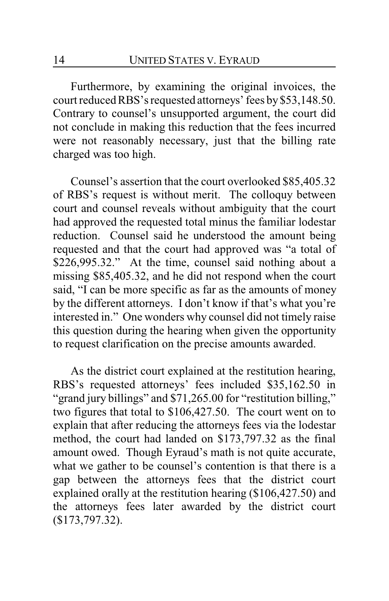Furthermore, by examining the original invoices, the court reduced RBS's requested attorneys' fees by \$53,148.50. Contrary to counsel's unsupported argument, the court did not conclude in making this reduction that the fees incurred were not reasonably necessary, just that the billing rate charged was too high.

Counsel's assertion that the court overlooked \$85,405.32 of RBS's request is without merit. The colloquy between court and counsel reveals without ambiguity that the court had approved the requested total minus the familiar lodestar reduction. Counsel said he understood the amount being requested and that the court had approved was "a total of \$226,995.32." At the time, counsel said nothing about a missing \$85,405.32, and he did not respond when the court said, "I can be more specific as far as the amounts of money by the different attorneys. I don't know if that's what you're interested in." One wonders why counsel did not timely raise this question during the hearing when given the opportunity to request clarification on the precise amounts awarded.

As the district court explained at the restitution hearing, RBS's requested attorneys' fees included \$35,162.50 in "grand jury billings" and \$71,265.00 for "restitution billing," two figures that total to \$106,427.50. The court went on to explain that after reducing the attorneys fees via the lodestar method, the court had landed on \$173,797.32 as the final amount owed. Though Eyraud's math is not quite accurate, what we gather to be counsel's contention is that there is a gap between the attorneys fees that the district court explained orally at the restitution hearing (\$106,427.50) and the attorneys fees later awarded by the district court (\$173,797.32).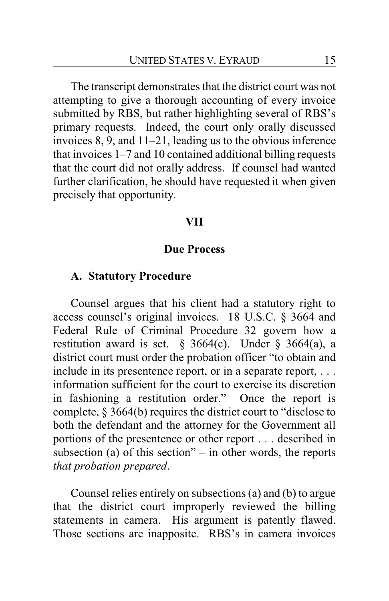The transcript demonstrates that the district court was not attempting to give a thorough accounting of every invoice submitted by RBS, but rather highlighting several of RBS's primary requests. Indeed, the court only orally discussed invoices 8, 9, and 11–21, leading us to the obvious inference that invoices 1–7 and 10 contained additional billing requests that the court did not orally address. If counsel had wanted further clarification, he should have requested it when given precisely that opportunity.

#### **VII**

### **Due Process**

### **A. Statutory Procedure**

Counsel argues that his client had a statutory right to access counsel's original invoices. 18 U.S.C. § 3664 and Federal Rule of Criminal Procedure 32 govern how a restitution award is set.  $\frac{6}{9}$  3664(c). Under  $\frac{6}{9}$  3664(a), a district court must order the probation officer "to obtain and include in its presentence report, or in a separate report, . . . information sufficient for the court to exercise its discretion in fashioning a restitution order." Once the report is complete, § 3664(b) requires the district court to "disclose to both the defendant and the attorney for the Government all portions of the presentence or other report . . . described in subsection (a) of this section" – in other words, the reports *that probation prepared*.

Counsel relies entirely on subsections (a) and (b) to argue that the district court improperly reviewed the billing statements in camera. His argument is patently flawed. Those sections are inapposite. RBS's in camera invoices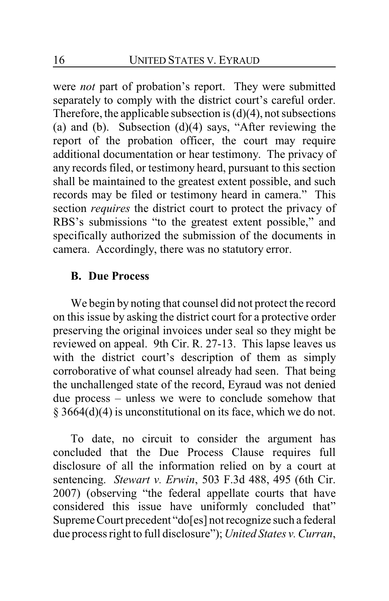were *not* part of probation's report. They were submitted separately to comply with the district court's careful order. Therefore, the applicable subsection is  $(d)(4)$ , not subsections (a) and (b). Subsection  $(d)(4)$  says, "After reviewing the report of the probation officer, the court may require additional documentation or hear testimony. The privacy of any records filed, or testimony heard, pursuant to this section shall be maintained to the greatest extent possible, and such records may be filed or testimony heard in camera." This section *requires* the district court to protect the privacy of RBS's submissions "to the greatest extent possible," and specifically authorized the submission of the documents in camera. Accordingly, there was no statutory error.

### **B. Due Process**

We begin by noting that counsel did not protect the record on this issue by asking the district court for a protective order preserving the original invoices under seal so they might be reviewed on appeal. 9th Cir. R. 27-13. This lapse leaves us with the district court's description of them as simply corroborative of what counsel already had seen. That being the unchallenged state of the record, Eyraud was not denied due process – unless we were to conclude somehow that § 3664(d)(4) is unconstitutional on its face, which we do not.

To date, no circuit to consider the argument has concluded that the Due Process Clause requires full disclosure of all the information relied on by a court at sentencing. *Stewart v. Erwin*, 503 F.3d 488, 495 (6th Cir. 2007) (observing "the federal appellate courts that have considered this issue have uniformly concluded that" Supreme Court precedent "do[es] not recognize such a federal due process right to full disclosure"); *United States v. Curran*,